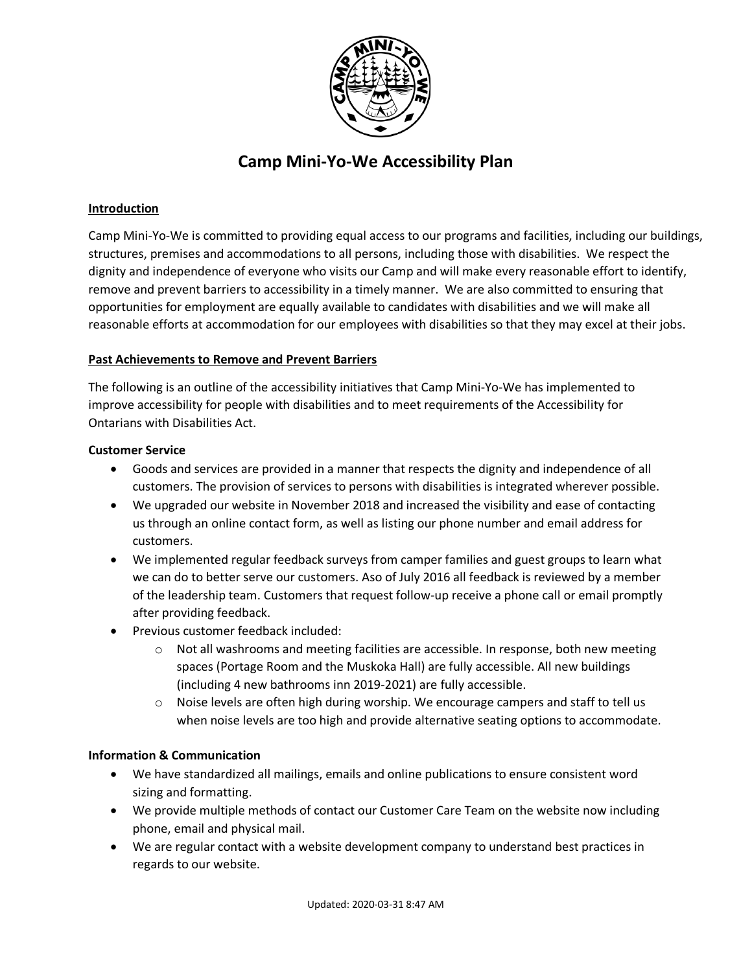

# **Camp Mini-Yo-We Accessibility Plan**

## **Introduction**

Camp Mini-Yo-We is committed to providing equal access to our programs and facilities, including our buildings, structures, premises and accommodations to all persons, including those with disabilities. We respect the dignity and independence of everyone who visits our Camp and will make every reasonable effort to identify, remove and prevent barriers to accessibility in a timely manner. We are also committed to ensuring that opportunities for employment are equally available to candidates with disabilities and we will make all reasonable efforts at accommodation for our employees with disabilities so that they may excel at their jobs.

## **Past Achievements to Remove and Prevent Barriers**

The following is an outline of the accessibility initiatives that Camp Mini-Yo-We has implemented to improve accessibility for people with disabilities and to meet requirements of the Accessibility for Ontarians with Disabilities Act.

#### **Customer Service**

- Goods and services are provided in a manner that respects the dignity and independence of all customers. The provision of services to persons with disabilities is integrated wherever possible.
- We upgraded our website in November 2018 and increased the visibility and ease of contacting us through an online contact form, as well as listing our phone number and email address for customers.
- We implemented regular feedback surveys from camper families and guest groups to learn what we can do to better serve our customers. Aso of July 2016 all feedback is reviewed by a member of the leadership team. Customers that request follow-up receive a phone call or email promptly after providing feedback.
- Previous customer feedback included:
	- $\circ$  Not all washrooms and meeting facilities are accessible. In response, both new meeting spaces (Portage Room and the Muskoka Hall) are fully accessible. All new buildings (including 4 new bathrooms inn 2019-2021) are fully accessible.
	- Noise levels are often high during worship. We encourage campers and staff to tell us when noise levels are too high and provide alternative seating options to accommodate.

# **Information & Communication**

- We have standardized all mailings, emails and online publications to ensure consistent word sizing and formatting.
- We provide multiple methods of contact our Customer Care Team on the website now including phone, email and physical mail.
- We are regular contact with a website development company to understand best practices in regards to our website.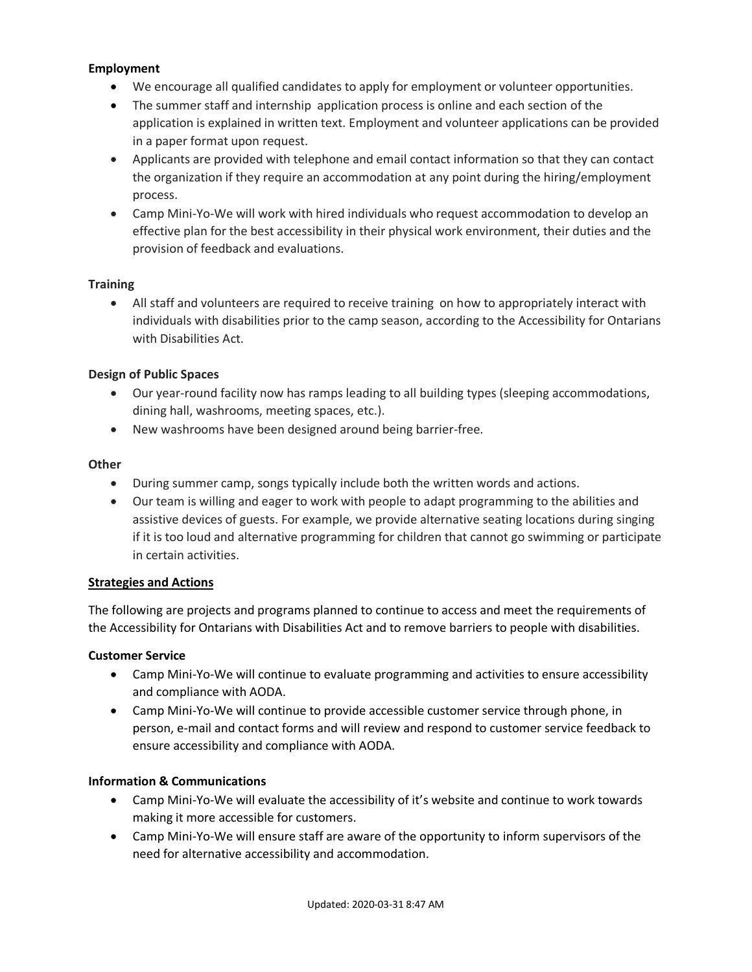#### **Employment**

- We encourage all qualified candidates to apply for employment or volunteer opportunities.
- The summer staff and internship application process is online and each section of the application is explained in written text. Employment and volunteer applications can be provided in a paper format upon request.
- Applicants are provided with telephone and email contact information so that they can contact the organization if they require an accommodation at any point during the hiring/employment process.
- Camp Mini-Yo-We will work with hired individuals who request accommodation to develop an effective plan for the best accessibility in their physical work environment, their duties and the provision of feedback and evaluations.

## **Training**

• All staff and volunteers are required to receive training on how to appropriately interact with individuals with disabilities prior to the camp season, according to the Accessibility for Ontarians with Disabilities Act.

# **Design of Public Spaces**

- Our year-round facility now has ramps leading to all building types (sleeping accommodations, dining hall, washrooms, meeting spaces, etc.).
- New washrooms have been designed around being barrier-free.

## **Other**

- During summer camp, songs typically include both the written words and actions.
- Our team is willing and eager to work with people to adapt programming to the abilities and assistive devices of guests. For example, we provide alternative seating locations during singing if it is too loud and alternative programming for children that cannot go swimming or participate in certain activities.

#### **Strategies and Actions**

The following are projects and programs planned to continue to access and meet the requirements of the Accessibility for Ontarians with Disabilities Act and to remove barriers to people with disabilities.

#### **Customer Service**

- Camp Mini-Yo-We will continue to evaluate programming and activities to ensure accessibility and compliance with AODA.
- Camp Mini-Yo-We will continue to provide accessible customer service through phone, in person, e-mail and contact forms and will review and respond to customer service feedback to ensure accessibility and compliance with AODA.

# **Information & Communications**

- Camp Mini-Yo-We will evaluate the accessibility of it's website and continue to work towards making it more accessible for customers.
- Camp Mini-Yo-We will ensure staff are aware of the opportunity to inform supervisors of the need for alternative accessibility and accommodation.